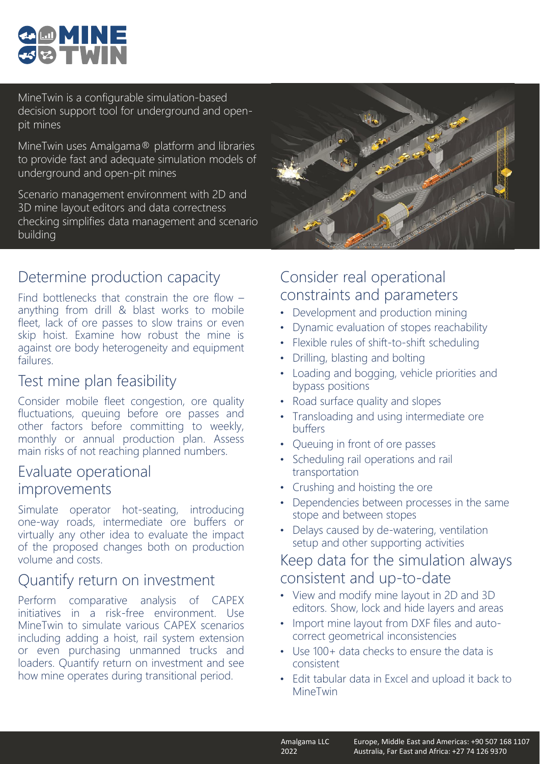

MineTwin is a configurable simulation-based decision support tool for underground and openpit mines

MineTwin uses Amalgama® platform and libraries to provide fast and adequate simulation models of underground and open-pit mines

Scenario management environment with 2D and 3D mine layout editors and data correctness checking simplifies data management and scenario building

# Determine production capacity

Find bottlenecks that constrain the ore flow – anything from drill & blast works to mobile fleet, lack of ore passes to slow trains or even skip hoist. Examine how robust the mine is against ore body heterogeneity and equipment failures.

#### Test mine plan feasibility

Consider mobile fleet congestion, ore quality fluctuations, queuing before ore passes and other factors before committing to weekly, monthly or annual production plan. Assess main risks of not reaching planned numbers.

#### Evaluate operational improvements

Simulate operator hot-seating, introducing one-way roads, intermediate ore buffers or virtually any other idea to evaluate the impact of the proposed changes both on production volume and costs.

## Quantify return on investment

Perform comparative analysis of CAPEX initiatives in a risk-free environment. Use MineTwin to simulate various CAPEX scenarios including adding a hoist, rail system extension or even purchasing unmanned trucks and loaders. Quantify return on investment and see how mine operates during transitional period.



## Consider real operational constraints and parameters

- Development and production mining
- Dynamic evaluation of stopes reachability
- Flexible rules of shift-to-shift scheduling
- Drilling, blasting and bolting
- Loading and bogging, vehicle priorities and bypass positions
- Road surface quality and slopes
- Transloading and using intermediate ore buffers
- Queuing in front of ore passes
- Scheduling rail operations and rail transportation
- Crushing and hoisting the ore
- Dependencies between processes in the same stope and between stopes
- Delays caused by de-watering, ventilation setup and other supporting activities

### Keep data for the simulation always consistent and up-to-date

- View and modify mine layout in 2D and 3D editors. Show, lock and hide layers and areas
- Import mine layout from DXF files and autocorrect geometrical inconsistencies
- Use 100+ data checks to ensure the data is consistent
- Edit tabular data in Excel and upload it back to MineTwin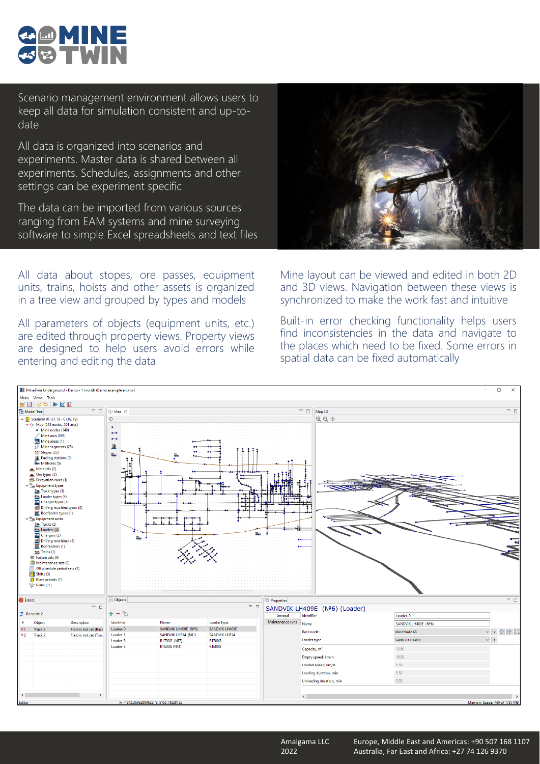Scenario management environment allows users to keep all data for simulation consistent and up-todate

All data is organized into scenarios and experiments. Master data is shared between all experiments. Schedules, assignments and other settings can be experiment specific

The data can be imported from various sources ranging from EAM systems and mine surveying software to simple Excel spreadsheets and text files

All data about stopes, ore passes, equipment units, trains, hoists and other assets is organized in a tree view and grouped by types and models

All parameters of objects (equipment units, etc.) are edited through property views. Property views are designed to help users avoid errors while entering and editing the data



Mine layout can be viewed and edited in both 2D and 3D views. Navigation between these views is synchronized to make the work fast and intuitive

Built-in error checking functionality helps users find inconsistencies in the data and navigate to the places which need to be fixed. Some errors in spatial data can be fixed automatically



Amalgama LLC 2022

Europe, Middle East and Americas: +90 507 168 1107 Australia, Far East and Africa: +27 74 126 9370